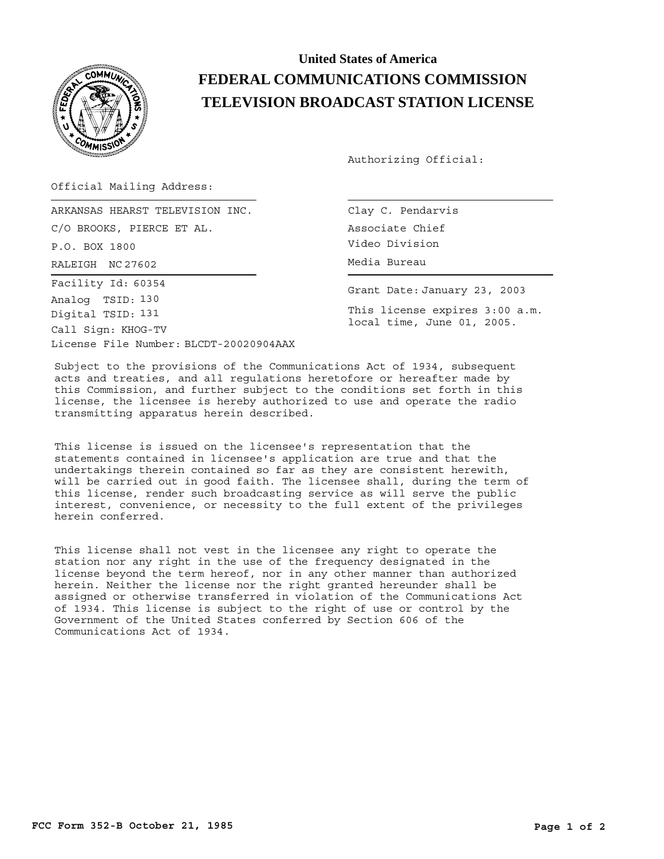

## **United States of America FEDERAL COMMUNICATIONS COMMISSION TELEVISION BROADCAST STATION LICENSE**

Authorizing Official:

Official Mailing Address:

RALEIGH Media Bureau NC 27602 ARKANSAS HEARST TELEVISION INC. C/O BROOKS, PIERCE ET AL. P.O. BOX 1800 License File Number: BLCDT-20020904AAX Call Sign: KHOG-TV Facility Id: 60354 Digital TSID: 131 Analog TSID: 130

Clay C. Pendarvis Associate Chief Video Division

Grant Date: January 23, 2003

This license expires 3:00 a.m. local time, June 01, 2005.

Subject to the provisions of the Communications Act of 1934, subsequent acts and treaties, and all regulations heretofore or hereafter made by this Commission, and further subject to the conditions set forth in this license, the licensee is hereby authorized to use and operate the radio transmitting apparatus herein described.

This license is issued on the licensee's representation that the statements contained in licensee's application are true and that the undertakings therein contained so far as they are consistent herewith, will be carried out in good faith. The licensee shall, during the term of this license, render such broadcasting service as will serve the public interest, convenience, or necessity to the full extent of the privileges herein conferred.

This license shall not vest in the licensee any right to operate the station nor any right in the use of the frequency designated in the license beyond the term hereof, nor in any other manner than authorized herein. Neither the license nor the right granted hereunder shall be assigned or otherwise transferred in violation of the Communications Act of 1934. This license is subject to the right of use or control by the Government of the United States conferred by Section 606 of the Communications Act of 1934.